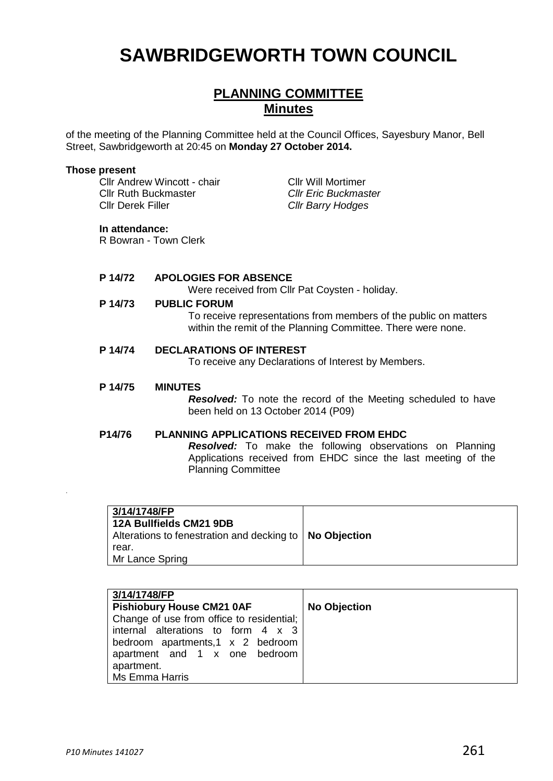# **SAWBRIDGEWORTH TOWN COUNCIL**

# **PLANNING COMMITTEE Minutes**

of the meeting of the Planning Committee held at the Council Offices, Sayesbury Manor, Bell Street, Sawbridgeworth at 20:45 on **Monday 27 October 2014.**

#### **Those present**

Cllr Andrew Wincott - chair Cllr Will Mortimer Cllr Ruth Buckmaster *Cllr Eric Buckmaster* Cllr Derek Filler *Cllr Barry Hodges*

#### **In attendance:**

R Bowran - Town Clerk

## **P 14/72 APOLOGIES FOR ABSENCE**

Were received from Cllr Pat Coysten - holiday.

#### **P 14/73 PUBLIC FORUM**

To receive representations from members of the public on matters within the remit of the Planning Committee. There were none.

#### **P 14/74 DECLARATIONS OF INTEREST**

To receive any Declarations of Interest by Members.

#### **P 14/75 MINUTES**

*Resolved:* To note the record of the Meeting scheduled to have been held on 13 October 2014 (P09)

#### **P14/76 PLANNING APPLICATIONS RECEIVED FROM EHDC**

*Resolved:* To make the following observations on Planning Applications received from EHDC since the last meeting of the Planning Committee

| 3/14/1748/FP<br>12A Bullfields CM21 9DB<br>Alterations to fenestration and decking to   No Objection<br>rear.<br>Mr Lance Spring |  |
|----------------------------------------------------------------------------------------------------------------------------------|--|
|----------------------------------------------------------------------------------------------------------------------------------|--|

| 3/14/1748/FP                              |                     |
|-------------------------------------------|---------------------|
| <b>Pishiobury House CM21 0AF</b>          | <b>No Objection</b> |
| Change of use from office to residential; |                     |
| internal alterations to form 4 x 3        |                     |
| bedroom apartments,1 x 2 bedroom          |                     |
| apartment and 1 x one bedroom             |                     |
| apartment.                                |                     |
| Ms Emma Harris                            |                     |

.